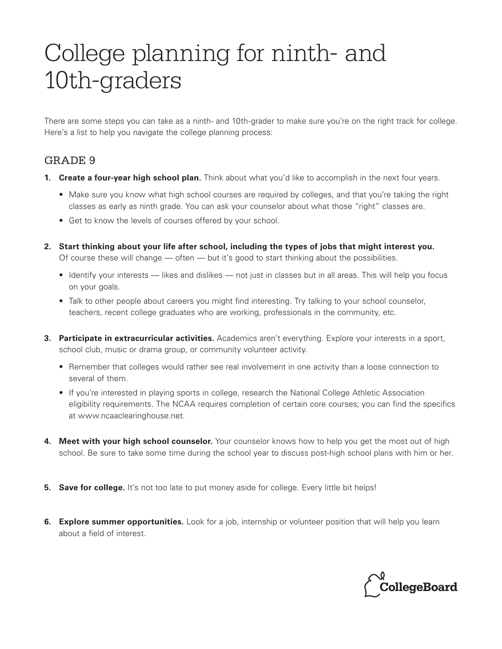## College planning for ninth- and 10th-graders

There are some steps you can take as a ninth- and 10th-grader to make sure you're on the right track for college. Here's a list to help you navigate the college planning process:

## GRADE 9

- **1. Create a four-year high school plan.** Think about what you'd like to accomplish in the next four years.
	- Make sure you know what high school courses are required by colleges, and that you're taking the right classes as early as ninth grade. You can ask your counselor about what those "right" classes are.
	- Get to know the levels of courses offered by your school.
- **2. Start thinking about your life after school, including the types of jobs that might interest you.** Of course these will change — often — but it's good to start thinking about the possibilities.
	- Identify your interests likes and dislikes not just in classes but in all areas. This will help you focus on your goals.
	- Talk to other people about careers you might find interesting. Try talking to your school counselor, teachers, recent college graduates who are working, professionals in the community, etc.
- **3. Participate in extracurricular activities.** Academics aren't everything. Explore your interests in a sport, school club, music or drama group, or community volunteer activity.
	- Remember that colleges would rather see real involvement in one activity than a loose connection to several of them.
	- If you're interested in playing sports in college, research the National College Athletic Association eligibility requirements. The NCAA requires completion of certain core courses; you can find the specifics at www.ncaaclearinghouse.net.
- **4. Meet with your high school counselor.** Your counselor knows how to help you get the most out of high school. Be sure to take some time during the school year to discuss post-high school plans with him or her.
- **5. Save for college.** It's not too late to put money aside for college. Every little bit helps!
- **6. Explore summer opportunities.** Look for a job, internship or volunteer position that will help you learn about a field of interest.